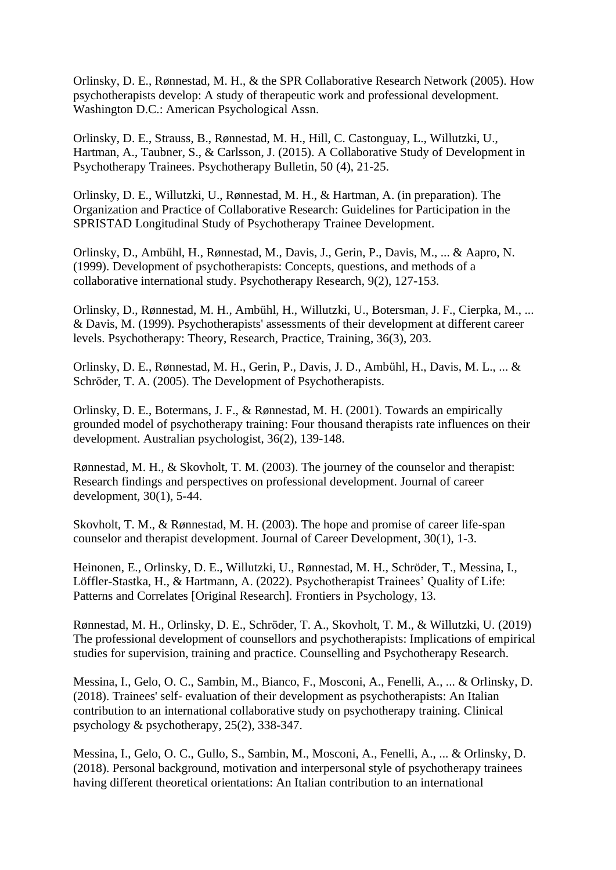Orlinsky, D. E., Rønnestad, M. H., & the SPR Collaborative Research Network (2005). How psychotherapists develop: A study of therapeutic work and professional development. Washington D.C.: American Psychological Assn.

Orlinsky, D. E., Strauss, B., Rønnestad, M. H., Hill, C. Castonguay, L., Willutzki, U., Hartman, A., Taubner, S., & Carlsson, J. (2015). A Collaborative Study of Development in Psychotherapy Trainees. Psychotherapy Bulletin, 50 (4), 21-25.

Orlinsky, D. E., Willutzki, U., Rønnestad, M. H., & Hartman, A. (in preparation). The Organization and Practice of Collaborative Research: Guidelines for Participation in the SPRISTAD Longitudinal Study of Psychotherapy Trainee Development.

Orlinsky, D., Ambühl, H., Rønnestad, M., Davis, J., Gerin, P., Davis, M., ... & Aapro, N. (1999). Development of psychotherapists: Concepts, questions, and methods of a collaborative international study. Psychotherapy Research, 9(2), 127-153.

Orlinsky, D., Rønnestad, M. H., Ambühl, H., Willutzki, U., Botersman, J. F., Cierpka, M., ... & Davis, M. (1999). Psychotherapists' assessments of their development at different career levels. Psychotherapy: Theory, Research, Practice, Training, 36(3), 203.

Orlinsky, D. E., Rønnestad, M. H., Gerin, P., Davis, J. D., Ambühl, H., Davis, M. L., ... & Schröder, T. A. (2005). The Development of Psychotherapists.

Orlinsky, D. E., Botermans, J. F., & Rønnestad, M. H. (2001). Towards an empirically grounded model of psychotherapy training: Four thousand therapists rate influences on their development. Australian psychologist, 36(2), 139-148.

Rønnestad, M. H., & Skovholt, T. M. (2003). The journey of the counselor and therapist: Research findings and perspectives on professional development. Journal of career development, 30(1), 5-44.

Skovholt, T. M., & Rønnestad, M. H. (2003). The hope and promise of career life-span counselor and therapist development. Journal of Career Development, 30(1), 1-3.

Heinonen, E., Orlinsky, D. E., Willutzki, U., Rønnestad, M. H., Schröder, T., Messina, I., Löffler-Stastka, H., & Hartmann, A. (2022). Psychotherapist Trainees' Quality of Life: Patterns and Correlates [Original Research]. Frontiers in Psychology, 13.

Rønnestad, M. H., Orlinsky, D. E., Schröder, T. A., Skovholt, T. M., & Willutzki, U. (2019) The professional development of counsellors and psychotherapists: Implications of empirical studies for supervision, training and practice. Counselling and Psychotherapy Research.

Messina, I., Gelo, O. C., Sambin, M., Bianco, F., Mosconi, A., Fenelli, A., ... & Orlinsky, D. (2018). Trainees' self‐ evaluation of their development as psychotherapists: An Italian contribution to an international collaborative study on psychotherapy training. Clinical psychology & psychotherapy, 25(2), 338-347.

Messina, I., Gelo, O. C., Gullo, S., Sambin, M., Mosconi, A., Fenelli, A., ... & Orlinsky, D. (2018). Personal background, motivation and interpersonal style of psychotherapy trainees having different theoretical orientations: An Italian contribution to an international